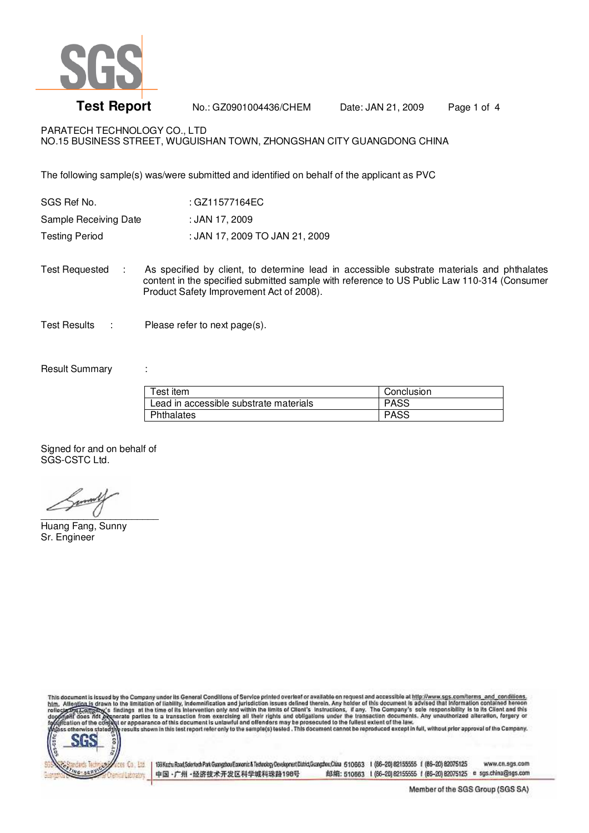

**Test Report** No.: GZ0901004436/CHEM Date: JAN 21, 2009 Page 1 of 4

PARATECH TECHNOLOGY CO., LTD NO.15 BUSINESS STREET, WUGUISHAN TOWN, ZHONGSHAN CITY GUANGDONG CHINA

The following sample(s) was/were submitted and identified on behalf of the applicant as PVC

| SGS Ref No.           | : GZ11577164EC                 |
|-----------------------|--------------------------------|
| Sample Receiving Date | : JAN 17. 2009                 |
| Testing Period        | : JAN 17, 2009 TO JAN 21, 2009 |

Test Requested : As specified by client, to determine lead in accessible substrate materials and phthalates content in the specified submitted sample with reference to US Public Law 110-314 (Consumer Product Safety Improvement Act of 2008).

Test Results : Please refer to next page(s).

## Result Summary :

| Test item                              | Conclusion  |
|----------------------------------------|-------------|
| Lead in accessible substrate materials | <b>PASS</b> |
| Phthalates                             | <b>PASS</b> |

Signed for and on behalf of SGS-CSTC Ltd.

 $\overline{C}$ 

Huang Fang, Sunny Sr. Engineer

This document is issued by the Company under its General Conditions of Service printed overleaf or available on request and accessible at http://www.sgs.com/terms\_and\_conditions.<br>bim, Alte<u>ntion is</u> drawn to the limitation



193Kaztu Road, Sointech Park Guangshou Economic & Technology Development District Guangshou China 510663 1 (66-20) 82155555 f (86-20) 82075125 www.cn.sgs.com 中国·广州·经济技术开发区科学城科珠路198号 邮编: 510663 1 (86-20) 62155555 f (86-20) 82075125 e sgs.china@sgs.com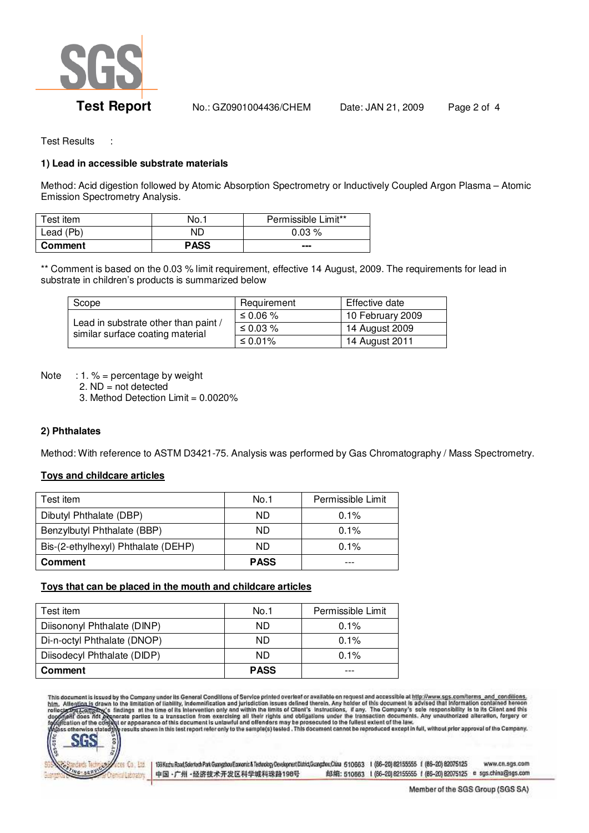

Test Results :

# **1) Lead in accessible substrate materials**

Method: Acid digestion followed by Atomic Absorption Spectrometry or Inductively Coupled Argon Plasma – Atomic Emission Spectrometry Analysis.

| Test item | No.1        | Permissible Limit** |
|-----------|-------------|---------------------|
| Lead (Pb) | ND          | $0.03\%$            |
| Comment   | <b>PASS</b> | ---                 |

\*\* Comment is based on the 0.03 % limit requirement, effective 14 August, 2009. The requirements for lead in substrate in children's products is summarized below

| Scope                                                                    | Requirement | Effective date   |
|--------------------------------------------------------------------------|-------------|------------------|
| Lead in substrate other than paint /<br>similar surface coating material | ≤ 0.06 %    | 10 February 2009 |
|                                                                          | ≤ 0.03 $%$  | 14 August 2009   |
|                                                                          | ≤ 0.01%     | 14 August 2011   |

Note : 1.  $%$  = percentage by weight

2.  $ND = not detected$ 

3. Method Detection Limit = 0.0020%

### **2) Phthalates**

Method: With reference to ASTM D3421-75. Analysis was performed by Gas Chromatography / Mass Spectrometry.

### **Toys and childcare articles**

| Test item                           | No.1        | Permissible Limit |
|-------------------------------------|-------------|-------------------|
| Dibutyl Phthalate (DBP)             | ND.         | 0.1%              |
| Benzylbutyl Phthalate (BBP)         | ND.         | 0.1%              |
| Bis-(2-ethylhexyl) Phthalate (DEHP) | ND.         | 0.1%              |
| <b>Comment</b>                      | <b>PASS</b> |                   |

### **Toys that can be placed in the mouth and childcare articles**

| Test item                   | No.1        | Permissible Limit |
|-----------------------------|-------------|-------------------|
| Diisononyl Phthalate (DINP) | ND.         | 0.1%              |
| Di-n-octyl Phthalate (DNOP) | ND.         | $0.1\%$           |
| Diisodecyl Phthalate (DIDP) | ND          | 0.1%              |
| <b>Comment</b>              | <b>PASS</b> |                   |

This document is issued by the Company under its General Conditions of Service printed overleaf or available on request and accessible at http://www.sgs.com/terms\_and\_conditions.<br>htm. Alte<u>ntion is</u> drawn to the limitation



193Kaztu Road, Sointech Park Guangshou Economic & Technology Development District Guangshou China 510663 1 (66-20) 82155555 f (86-20) 82075125 www.cn.sgs.com 中国·广州·经济技术开发区科学城科珠路198号 邮编: 510663 1 (86-20) 62155555 f (86-20) 82075125 e sgs.china@sgs.com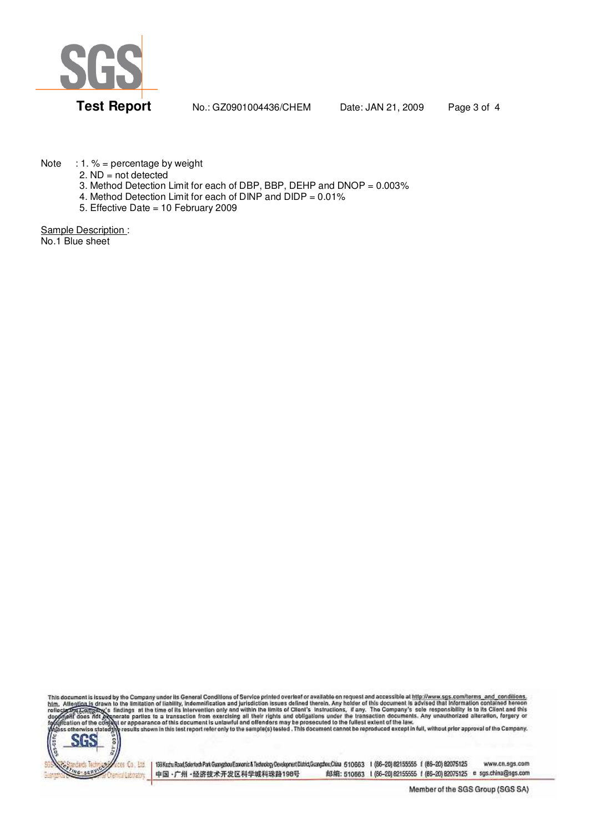

**Test Report** No.: GZ0901004436/CHEM Date: JAN 21, 2009 Page 3 of 4

Note : 1.  $%$  = percentage by weight

2.  $ND = not detected$ 

- 3. Method Detection Limit for each of DBP, BBP, DEHP and DNOP = 0.003%
- 4. Method Detection Limit for each of DINP and DIDP = 0.01%
- 5. Effective Date = 10 February 2009

Sample Description : No.1 Blue sheet

This document is issued by the Company under its General Conditions of Service printed overleaf or available on request and accessible at http://www.sgs.com/terms\_and\_conditions.<br>htm. Alte<u>ntion is</u> drawn to the limitation



193Kaztu Road, Sointech Park Guangshou Economic & Technology Development District Guangshou China 510663 1 (66-20) 82155555 f (86-20) 82075125 www.cn.sgs.com 邮编: 510663 1 (86-20) 62155555 f (86-20) 82075125 e sgs.china@sgs.com 中国·广州·经济技术开发区科学城科珠路198号